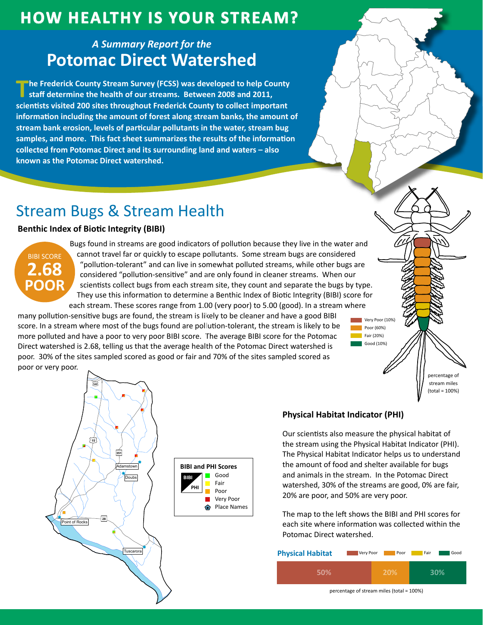## **HOW HEALTHY IS YOUR STREAM?**

### **A Summary Report for the Potomac Direct Watershed**

The Frederick County Stream Survey (FCSS) was developed to help County staff determine the health of our streams. Between 2008 and 2011, scientists visited 200 sites throughout Frederick County to collect important information including the amount of forest along stream banks, the amount of stream bank erosion, levels of particular pollutants in the water, stream bug samples, and more. This fact sheet summarizes the results of the information collected from Potomac Direct and its surrounding land and waters - also known as the Potomac Direct watershed.

# **Stream Bugs & Stream Health**

### **Benthic Index of Biotic Integrity (BIBI)**



Bugs found in streams are good indicators of pollution because they live in the water and cannot travel far or quickly to escape pollutants. Some stream bugs are considered "pollution-tolerant" and can live in somewhat polluted streams, while other bugs are considered "pollution-sensitive" and are only found in cleaner streams. When our scientists collect bugs from each stream site, they count and separate the bugs by type. They use this information to determine a Benthic Index of Biotic Integrity (BIBI) score for each stream. These scores range from 1.00 (very poor) to 5.00 (good). In a stream where

many pollution-sensitive bugs are found, the stream is likely to be cleaner and have a good BIBI score. In a stream where most of the bugs found are pollution-tolerant, the stream is likely to be more polluted and have a poor to very poor BIBI score. The average BIBI score for the Potomac Direct watershed is 2.68, telling us that the average health of the Potomac Direct watershed is poor. 30% of the sites sampled scored as good or fair and 70% of the sites sampled scored as poor or very poor.



### **Physical Habitat Indicator (PHI)**

Our scientists also measure the physical habitat of the stream using the Physical Habitat Indicator (PHI). The Physical Habitat Indicator helps us to understand the amount of food and shelter available for bugs and animals in the stream. In the Potomac Direct watershed, 30% of the streams are good, 0% are fair, 20% are poor, and 50% are very poor.

Very Poor (10%)

nercentage of stream miles  $(total = 100%)$ 

Poor (60%)

 $\overline{\phantom{1}}$  Fair (20%) Good (10%)

The map to the left shows the BIBI and PHI scores for each site where information was collected within the Potomac Direct watershed.

| <b>Physical Habitat</b> | Very Poor<br>Poor | Fair<br>Good |
|-------------------------|-------------------|--------------|
| 50%                     | <b>20%</b>        | 30%          |

percentage of stream miles (total = 100%)